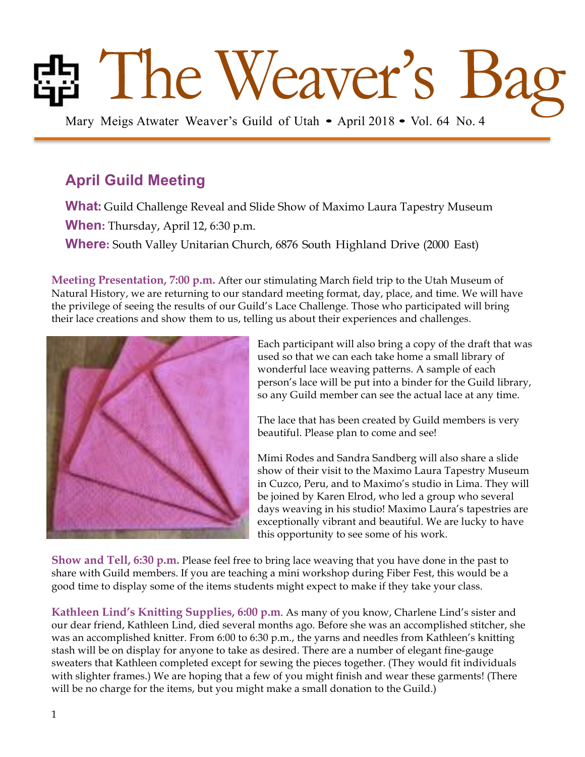# Bag Meigs Atwater Weaver's Guild of Utah • April 2018 • Vol. 64 No. 4

# **April Guild Meeting**

**What:** Guild Challenge Reveal and Slide Show of Maximo Laura Tapestry Museum **When:** Thursday, April 12, 6:30 p.m. **Where:** South Valley Unitarian Church, 6876 South Highland Drive (2000 East)

**Meeting Presentation, 7:00 p.m.** After our stimulating March field trip to the Utah Museum of Natural History, we are returning to our standard meeting format, day, place, and time. We will have the privilege of seeing the results of our Guild's Lace Challenge. Those who participated will bring their lace creations and show them to us, telling us about their experiences and challenges.



Each participant will also bring a copy of the draft that was used so that we can each take home a small library of wonderful lace weaving patterns. A sample of each person's lace will be put into a binder for the Guild library, so any Guild member can see the actual lace at any time.

The lace that has been created by Guild members is very beautiful. Please plan to come and see!

Mimi Rodes and Sandra Sandberg will also share a slide show of their visit to the Maximo Laura Tapestry Museum in Cuzco, Peru, and to Maximo's studio in Lima. They will be joined by Karen Elrod, who led a group who several days weaving in his studio! Maximo Laura's tapestries are exceptionally vibrant and beautiful. We are lucky to have this opportunity to see some of his work.

**Show and Tell, 6:30 p.m.** Please feel free to bring lace weaving that you have done in the past to share with Guild members. If you are teaching a mini workshop during Fiber Fest, this would be a good time to display some of the items students might expect to make if they take your class.

**Kathleen Lind's Knitting Supplies, 6:00 p.m**. As many of you know, Charlene Lind's sister and our dear friend, Kathleen Lind, died several months ago. Before she was an accomplished stitcher, she was an accomplished knitter. From 6:00 to 6:30 p.m., the yarns and needles from Kathleen's knitting stash will be on display for anyone to take as desired. There are a number of elegant fine-gauge sweaters that Kathleen completed except for sewing the pieces together. (They would fit individuals with slighter frames.) We are hoping that a few of you might finish and wear these garments! (There will be no charge for the items, but you might make a small donation to the Guild.)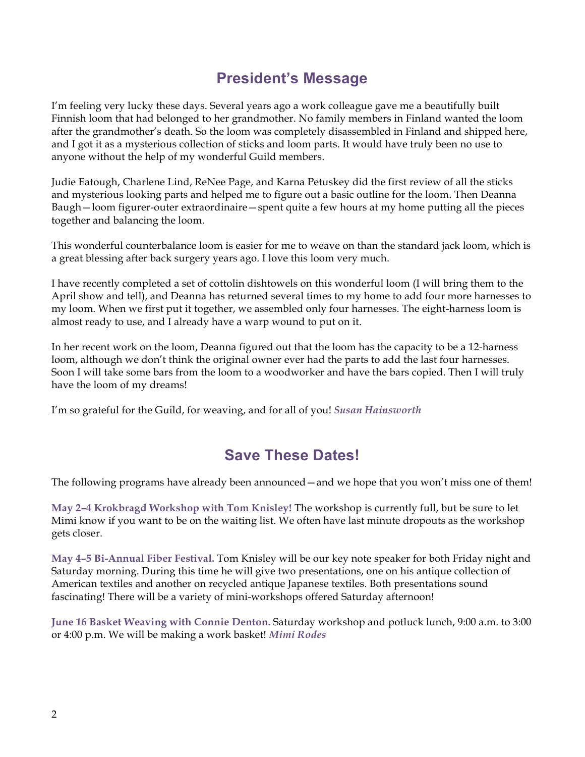## **President's Message**

I'm feeling very lucky these days. Several years ago a work colleague gave me a beautifully built Finnish loom that had belonged to her grandmother. No family members in Finland wanted the loom after the grandmother's death. So the loom was completely disassembled in Finland and shipped here, and I got it as a mysterious collection of sticks and loom parts. It would have truly been no use to anyone without the help of my wonderful Guild members.

Judie Eatough, Charlene Lind, ReNee Page, and Karna Petuskey did the first review of all the sticks and mysterious looking parts and helped me to figure out a basic outline for the loom. Then Deanna Baugh—loom figurer-outer extraordinaire—spent quite a few hours at my home putting all the pieces together and balancing the loom.

This wonderful counterbalance loom is easier for me to weave on than the standard jack loom, which is a great blessing after back surgery years ago. I love this loom very much.

I have recently completed a set of cottolin dishtowels on this wonderful loom (I will bring them to the April show and tell), and Deanna has returned several times to my home to add four more harnesses to my loom. When we first put it together, we assembled only four harnesses. The eight-harness loom is almost ready to use, and I already have a warp wound to put on it.

In her recent work on the loom, Deanna figured out that the loom has the capacity to be a 12-harness loom, although we don't think the original owner ever had the parts to add the last four harnesses. Soon I will take some bars from the loom to a woodworker and have the bars copied. Then I will truly have the loom of my dreams!

I'm so grateful for the Guild, for weaving, and for all of you! *Susan Hainsworth*

## **Save These Dates!**

The following programs have already been announced—and we hope that you won't miss one of them!

**May 2–4 Krokbragd Workshop with Tom Knisley!** The workshop is currently full, but be sure to let Mimi know if you want to be on the waiting list. We often have last minute dropouts as the workshop gets closer.

**May 4–5 Bi-Annual Fiber Festival.** Tom Knisley will be our key note speaker for both Friday night and Saturday morning. During this time he will give two presentations, one on his antique collection of American textiles and another on recycled antique Japanese textiles. Both presentations sound fascinating! There will be a variety of mini-workshops offered Saturday afternoon!

**June 16 Basket Weaving with Connie Denton.** Saturday workshop and potluck lunch, 9:00 a.m. to 3:00 or 4:00 p.m. We will be making a work basket! *Mimi Rodes*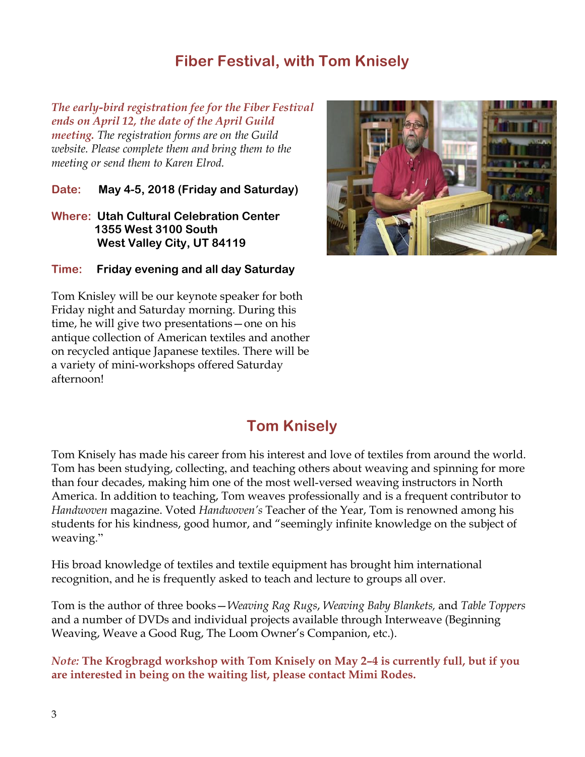## **Fiber Festival, with Tom Knisely**

*The early-bird registration fee for the Fiber Festival ends on April 12, the date of the April Guild meeting. The registration forms are on the Guild website. Please complete them and bring them to the meeting or send them to Karen Elrod.*

**Date: May 4-5, 2018 (Friday and Saturday)**

**Where: Utah Cultural Celebration Center 1355 West 3100 South West Valley City, UT 84119**

**Time: Friday evening and all day Saturday**

Tom Knisley will be our keynote speaker for both Friday night and Saturday morning. During this time, he will give two presentations—one on his antique collection of American textiles and another on recycled antique Japanese textiles. There will be a variety of mini-workshops offered Saturday afternoon!



# **Tom Knisely**

Tom Knisely has made his career from his interest and love of textiles from around the world. Tom has been studying, collecting, and teaching others about weaving and spinning for more than four decades, making him one of the most well-versed weaving instructors in North America. In addition to teaching, Tom weaves professionally and is a frequent contributor to *Handwoven* magazine. Voted *Handwoven's* Teacher of the Year, Tom is renowned among his students for his kindness, good humor, and "seemingly infinite knowledge on the subject of weaving."

His broad knowledge of textiles and textile equipment has brought him international recognition, and he is frequently asked to teach and lecture to groups all over.

Tom is the author of three books—*Weaving Rag Rugs*, *Weaving Baby Blankets,* and *Table Toppers* and a number of DVDs and individual projects available through Interweave (Beginning Weaving, Weave a Good Rug, The Loom Owner's Companion, etc.).

*Note:* **The Krogbragd workshop with Tom Knisely on May 2–4 is currently full, but if you are interested in being on the waiting list, please contact Mimi Rodes.**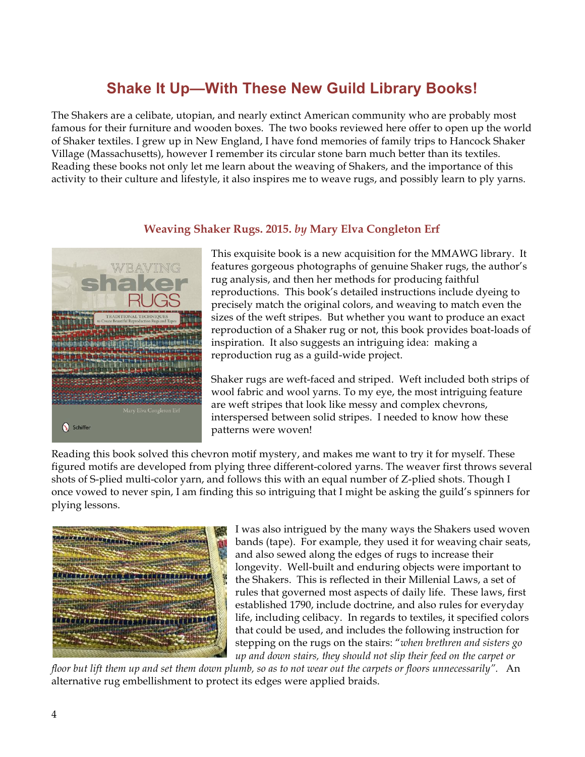# **Shake It Up—With These New Guild Library Books!**

The Shakers are a celibate, utopian, and nearly extinct American community who are probably most famous for their furniture and wooden boxes. The two books reviewed here offer to open up the world of Shaker textiles. I grew up in New England, I have fond memories of family trips to Hancock Shaker Village (Massachusetts), however I remember its circular stone barn much better than its textiles. Reading these books not only let me learn about the weaving of Shakers, and the importance of this activity to their culture and lifestyle, it also inspires me to weave rugs, and possibly learn to ply yarns.



## **Weaving Shaker Rugs. 2015.** *by* **Mary Elva Congleton Erf**

This exquisite book is a new acquisition for the MMAWG library. It features gorgeous photographs of genuine Shaker rugs, the author's rug analysis, and then her methods for producing faithful reproductions. This book's detailed instructions include dyeing to precisely match the original colors, and weaving to match even the sizes of the weft stripes. But whether you want to produce an exact reproduction of a Shaker rug or not, this book provides boat-loads of inspiration. It also suggests an intriguing idea: making a reproduction rug as a guild-wide project.

Shaker rugs are weft-faced and striped. Weft included both strips of wool fabric and wool yarns. To my eye, the most intriguing feature are weft stripes that look like messy and complex chevrons, interspersed between solid stripes. I needed to know how these patterns were woven!

Reading this book solved this chevron motif mystery, and makes me want to try it for myself. These figured motifs are developed from plying three different-colored yarns. The weaver first throws several shots of S-plied multi-color yarn, and follows this with an equal number of Z-plied shots. Though I once vowed to never spin, I am finding this so intriguing that I might be asking the guild's spinners for plying lessons.



I was also intrigued by the many ways the Shakers used woven bands (tape). For example, they used it for weaving chair seats, and also sewed along the edges of rugs to increase their longevity. Well-built and enduring objects were important to the Shakers. This is reflected in their Millenial Laws, a set of rules that governed most aspects of daily life. These laws, first established 1790, include doctrine, and also rules for everyday life, including celibacy. In regards to textiles, it specified colors that could be used, and includes the following instruction for stepping on the rugs on the stairs: "*when brethren and sisters go up and down stairs, they should not slip their feed on the carpet or* 

*floor but lift them up and set them down plumb, so as to not wear out the carpets or floors unnecessarily".* An alternative rug embellishment to protect its edges were applied braids.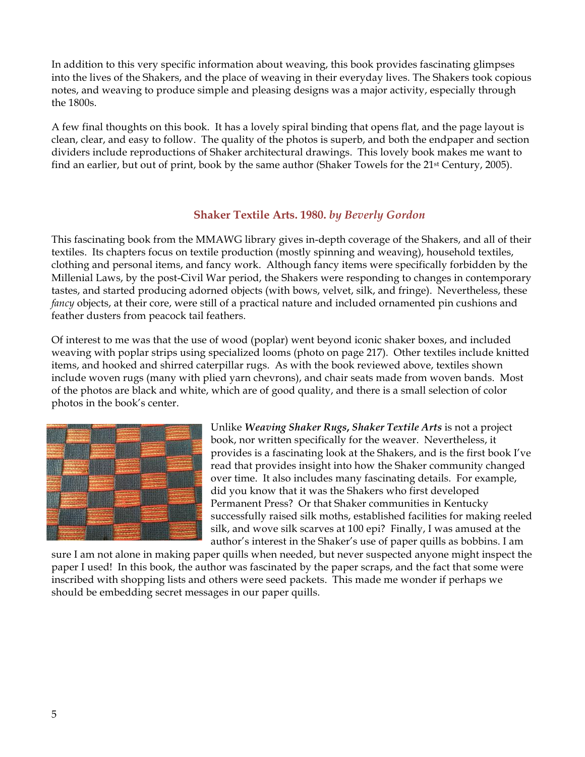In addition to this very specific information about weaving, this book provides fascinating glimpses into the lives of the Shakers, and the place of weaving in their everyday lives. The Shakers took copious notes, and weaving to produce simple and pleasing designs was a major activity, especially through the 1800s.

A few final thoughts on this book. It has a lovely spiral binding that opens flat, and the page layout is clean, clear, and easy to follow. The quality of the photos is superb, and both the endpaper and section dividers include reproductions of Shaker architectural drawings. This lovely book makes me want to find an earlier, but out of print, book by the same author (Shaker Towels for the 21st Century, 2005).

## **Shaker Textile Arts. 1980.** *by Beverly Gordon*

This fascinating book from the MMAWG library gives in-depth coverage of the Shakers, and all of their textiles. Its chapters focus on textile production (mostly spinning and weaving), household textiles, clothing and personal items, and fancy work. Although fancy items were specifically forbidden by the Millenial Laws, by the post-Civil War period, the Shakers were responding to changes in contemporary tastes, and started producing adorned objects (with bows, velvet, silk, and fringe). Nevertheless, these *fancy* objects, at their core, were still of a practical nature and included ornamented pin cushions and feather dusters from peacock tail feathers.

Of interest to me was that the use of wood (poplar) went beyond iconic shaker boxes, and included weaving with poplar strips using specialized looms (photo on page 217). Other textiles include knitted items, and hooked and shirred caterpillar rugs. As with the book reviewed above, textiles shown include woven rugs (many with plied yarn chevrons), and chair seats made from woven bands. Most of the photos are black and white, which are of good quality, and there is a small selection of color photos in the book's center.



Unlike *Weaving Shaker Rugs***,** *Shaker Textile Arts* is not a project book, nor written specifically for the weaver. Nevertheless, it provides is a fascinating look at the Shakers, and is the first book I've read that provides insight into how the Shaker community changed over time. It also includes many fascinating details. For example, did you know that it was the Shakers who first developed Permanent Press? Or that Shaker communities in Kentucky successfully raised silk moths, established facilities for making reeled silk, and wove silk scarves at 100 epi? Finally, I was amused at the author's interest in the Shaker's use of paper quills as bobbins. I am

sure I am not alone in making paper quills when needed, but never suspected anyone might inspect the paper I used! In this book, the author was fascinated by the paper scraps, and the fact that some were inscribed with shopping lists and others were seed packets. This made me wonder if perhaps we should be embedding secret messages in our paper quills.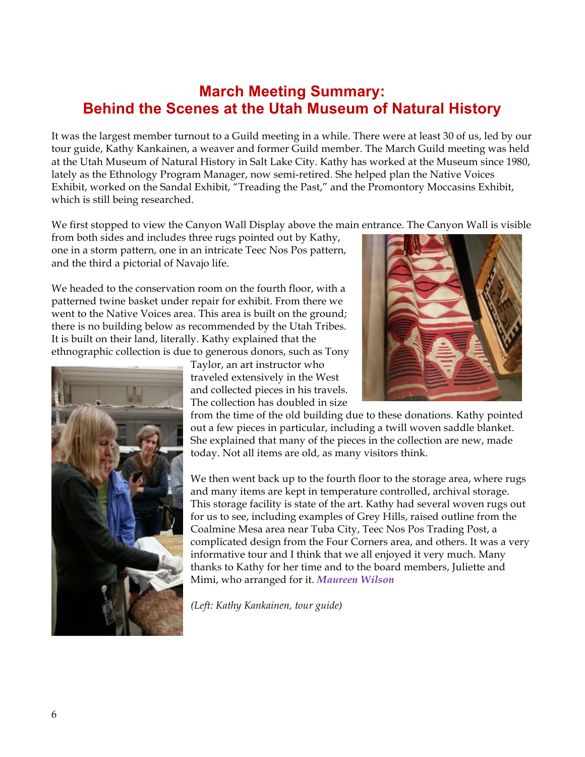## **March Meeting Summary: Behind the Scenes at the Utah Museum of Natural History**

It was the largest member turnout to a Guild meeting in a while. There were at least 30 of us, led by our tour guide, Kathy Kankainen, a weaver and former Guild member. The March Guild meeting was held at the Utah Museum of Natural History in Salt Lake City. Kathy has worked at the Museum since 1980, lately as the Ethnology Program Manager, now semi-retired. She helped plan the Native Voices Exhibit, worked on the Sandal Exhibit, "Treading the Past," and the Promontory Moccasins Exhibit, which is still being researched.

We first stopped to view the Canyon Wall Display above the main entrance. The Canyon Wall is visible

from both sides and includes three rugs pointed out by Kathy, one in a storm pattern, one in an intricate Teec Nos Pos pattern, and the third a pictorial of Navajo life.

We headed to the conservation room on the fourth floor, with a patterned twine basket under repair for exhibit. From there we went to the Native Voices area. This area is built on the ground; there is no building below as recommended by the Utah Tribes. It is built on their land, literally. Kathy explained that the ethnographic collection is due to generous donors, such as Tony



Taylor, an art instructor who traveled extensively in the West and collected pieces in his travels. The collection has doubled in size

from the time of the old building due to these donations. Kathy pointed out a few pieces in particular, including a twill woven saddle blanket. She explained that many of the pieces in the collection are new, made today. Not all items are old, as many visitors think.

We then went back up to the fourth floor to the storage area, where rugs and many items are kept in temperature controlled, archival storage. This storage facility is state of the art. Kathy had several woven rugs out for us to see, including examples of Grey Hills, raised outline from the Coalmine Mesa area near Tuba City, Teec Nos Pos Trading Post, a complicated design from the Four Corners area, and others. It was a very informative tour and I think that we all enjoyed it very much. Many thanks to Kathy for her time and to the board members, Juliette and Mimi, who arranged for it. *Maureen Wilson*

*(Left: Kathy Kankainen, tour guide)*

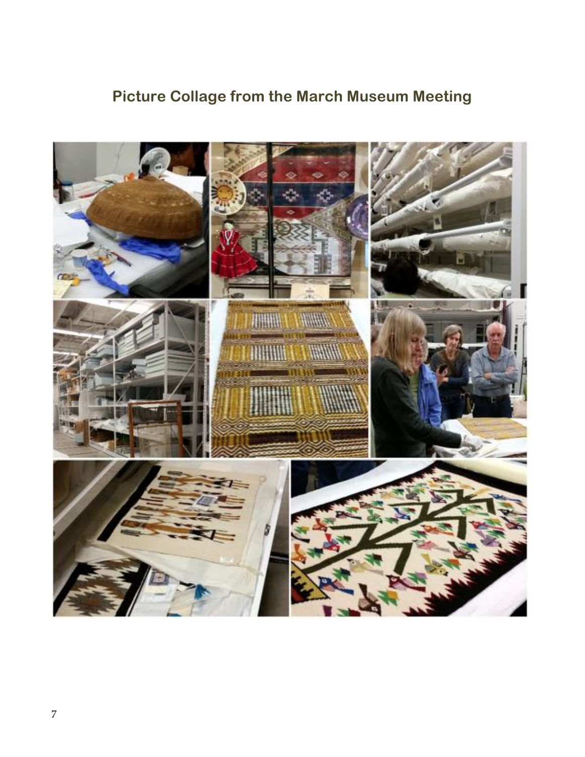# **Picture Collage from the March Museum Meeting**

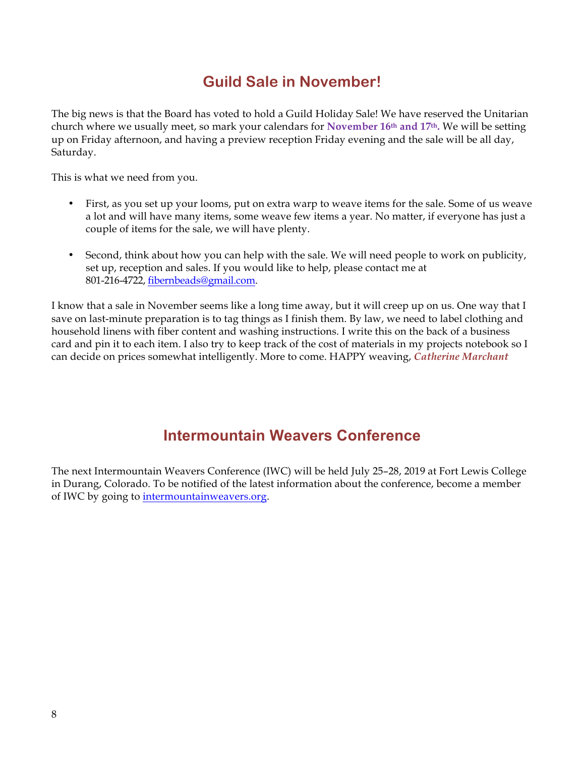# **Guild Sale in November!**

The big news is that the Board has voted to hold a Guild Holiday Sale! We have reserved the Unitarian church where we usually meet, so mark your calendars for **November 16th and 17th.** We will be setting up on Friday afternoon, and having a preview reception Friday evening and the sale will be all day, Saturday.

This is what we need from you.

- First, as you set up your looms, put on extra warp to weave items for the sale. Some of us weave a lot and will have many items, some weave few items a year. No matter, if everyone has just a couple of items for the sale, we will have plenty.
- Second, think about how you can help with the sale. We will need people to work on publicity, set up, reception and sales. If you would like to help, please contact me at 801-216-4722, fibernbeads@gmail.com.

I know that a sale in November seems like a long time away, but it will creep up on us. One way that I save on last-minute preparation is to tag things as I finish them. By law, we need to label clothing and household linens with fiber content and washing instructions. I write this on the back of a business card and pin it to each item. I also try to keep track of the cost of materials in my projects notebook so I can decide on prices somewhat intelligently. More to come. HAPPY weaving, *Catherine Marchant*

## **Intermountain Weavers Conference**

The next Intermountain Weavers Conference (IWC) will be held July 25–28, 2019 at Fort Lewis College in Durang, Colorado. To be notified of the latest information about the conference, become a member of IWC by going to intermountainweavers.org.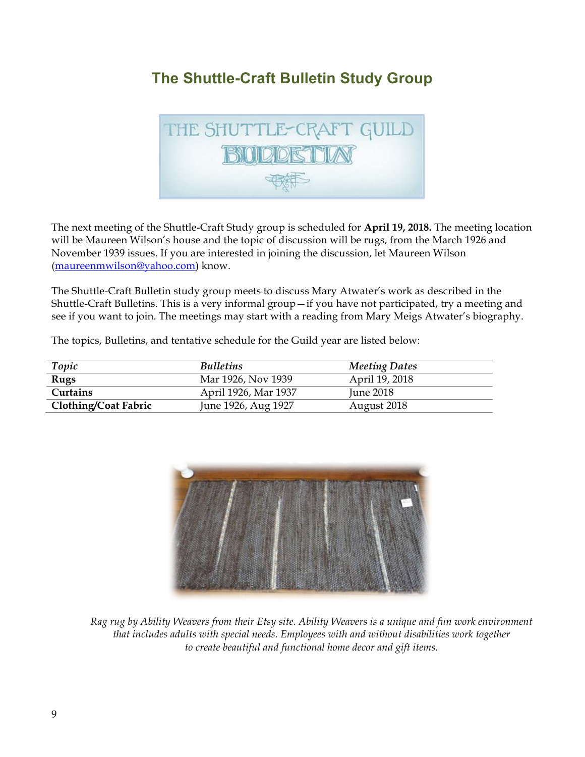## **The Shuttle-Craft Bulletin Study Group**



The next meeting of the Shuttle-Craft Study group is scheduled for **April 19, 2018.** The meeting location will be Maureen Wilson's house and the topic of discussion will be rugs, from the March 1926 and November 1939 issues. If you are interested in joining the discussion, let Maureen Wilson (maureenmwilson@yahoo.com) know.

The Shuttle-Craft Bulletin study group meets to discuss Mary Atwater's work as described in the Shuttle-Craft Bulletins. This is a very informal group—if you have not participated, try a meeting and see if you want to join. The meetings may start with a reading from Mary Meigs Atwater's biography.

The topics, Bulletins, and tentative schedule for the Guild year are listed below:

| Topic                       | <b>Bulletins</b>     | <b>Meeting Dates</b> |
|-----------------------------|----------------------|----------------------|
| Rugs                        | Mar 1926, Nov 1939   | April 19, 2018       |
| Curtains                    | April 1926, Mar 1937 | <b>June 2018</b>     |
| <b>Clothing/Coat Fabric</b> | June 1926, Aug 1927  | August 2018          |



*Rag rug by Ability Weavers from their Etsy site. Ability Weavers is a unique and fun work environment that includes adults with special needs. Employees with and without disabilities work together to create beautiful and functional home decor and gift items.*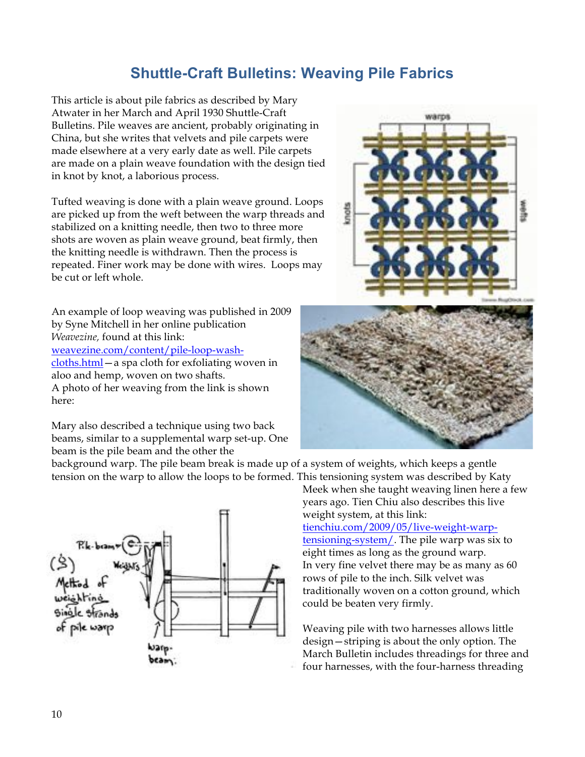## **Shuttle-Craft Bulletins: Weaving Pile Fabrics**

This article is about pile fabrics as described by Mary Atwater in her March and April 1930 Shuttle-Craft Bulletins. Pile weaves are ancient, probably originating in China, but she writes that velvets and pile carpets were made elsewhere at a very early date as well. Pile carpets are made on a plain weave foundation with the design tied in knot by knot, a laborious process.

Tufted weaving is done with a plain weave ground. Loops are picked up from the weft between the warp threads and stabilized on a knitting needle, then two to three more shots are woven as plain weave ground, beat firmly, then the knitting needle is withdrawn. Then the process is repeated. Finer work may be done with wires. Loops may be cut or left whole.

An example of loop weaving was published in 2009 by Syne Mitchell in her online publication *Weavezine,* found at this link: weavezine.com/content/pile-loop-washcloths.html—a spa cloth for exfoliating woven in aloo and hemp, woven on two shafts. A photo of her weaving from the link is shown here:

Mary also described a technique using two back beams, similar to a supplemental warp set-up. One beam is the pile beam and the other the

background warp. The pile beam break is made up of a system of weights, which keeps a gentle tension on the warp to allow the loops to be formed. This tensioning system was described by Katy





Meek when she taught weaving linen here a few years ago. Tien Chiu also describes this live weight system, at this link:

tienchiu.com/2009/05/live-weight-warptensioning-system/. The pile warp was six to eight times as long as the ground warp. In very fine velvet there may be as many as 60 rows of pile to the inch. Silk velvet was traditionally woven on a cotton ground, which could be beaten very firmly.

Weaving pile with two harnesses allows little design—striping is about the only option. The March Bulletin includes threadings for three and four harnesses, with the four-harness threading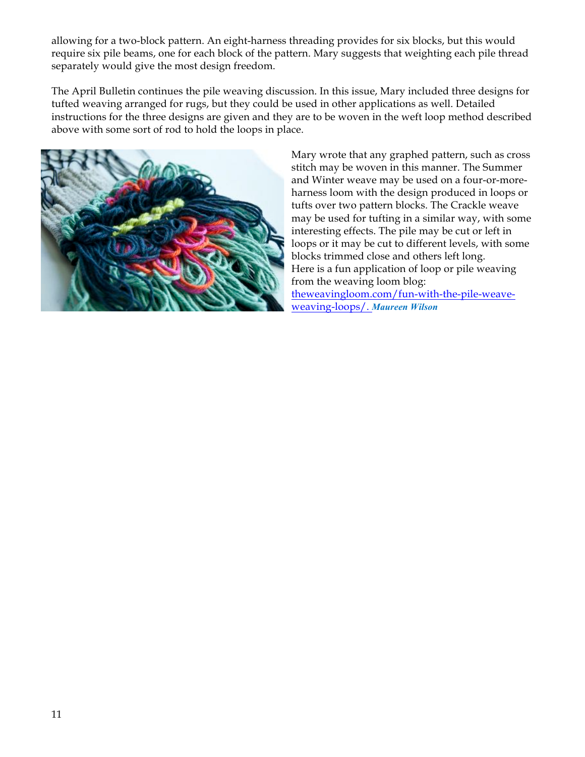allowing for a two-block pattern. An eight-harness threading provides for six blocks, but this would require six pile beams, one for each block of the pattern. Mary suggests that weighting each pile thread separately would give the most design freedom.

The April Bulletin continues the pile weaving discussion. In this issue, Mary included three designs for tufted weaving arranged for rugs, but they could be used in other applications as well. Detailed instructions for the three designs are given and they are to be woven in the weft loop method described above with some sort of rod to hold the loops in place.



Mary wrote that any graphed pattern, such as cross stitch may be woven in this manner. The Summer and Winter weave may be used on a four-or-moreharness loom with the design produced in loops or tufts over two pattern blocks. The Crackle weave may be used for tufting in a similar way, with some interesting effects. The pile may be cut or left in loops or it may be cut to different levels, with some blocks trimmed close and others left long. Here is a fun application of loop or pile weaving from the weaving loom blog: theweavingloom.com/fun-with-the-pile-weaveweaving-loops/. *Maureen Wilson*